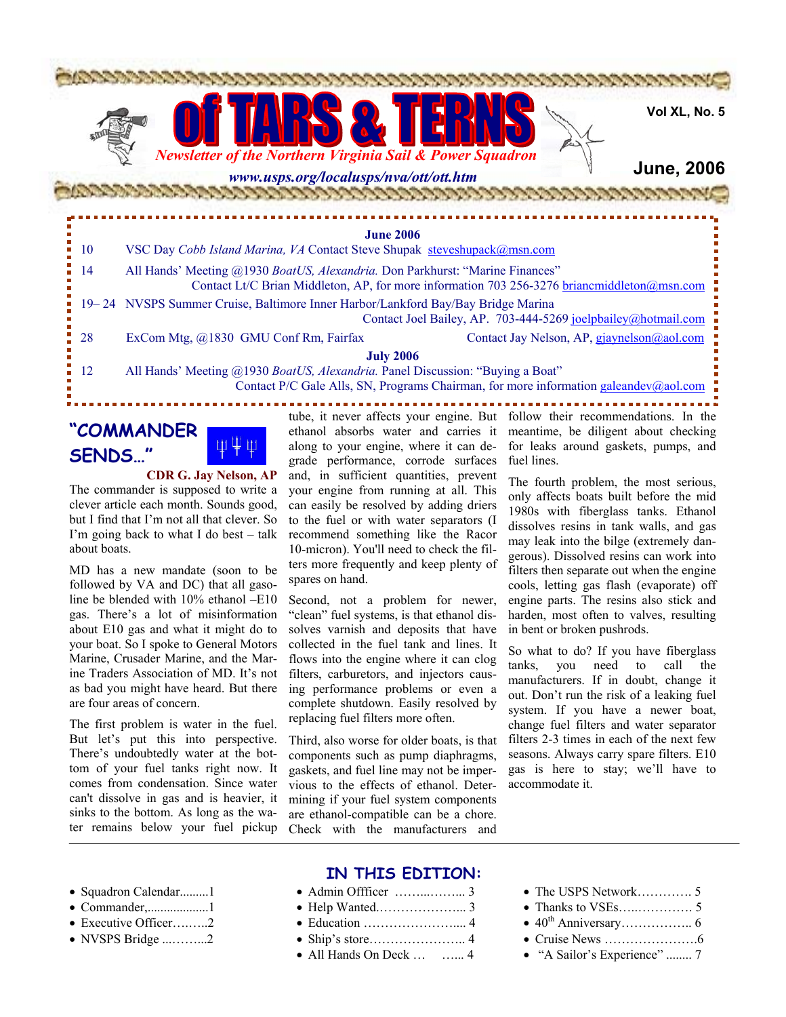

14 All Hands' Meeting @1930 *BoatUS, Alexandria.* Don Parkhurst: "Marine Finances" Contact Lt/C Brian Middleton, AP, for more information 703 256-3276 briancmiddleton@msn.com

19– 24 NVSPS Summer Cruise, Baltimore Inner Harbor/Lankford Bay/Bay Bridge Marina

Contact Joel Bailey, AP. 703-444-5269 joelpbailey@hotmail.com

28 ExCom Mtg, @1830 GMU Conf Rm, Fairfax Contact Jay Nelson, AP, giaynelson@aol.com

**July 2006** 

12 All Hands' Meeting @1930 *BoatUS, Alexandria.* Panel Discussion: "Buying a Boat" Contact P/C Gale Alls, SN, Programs Chairman, for more information galeandev@aol.com

**"COMMANDER SENDS…"**

**CDR G. Jay Nelson, AP** 

The commander is supposed to write a clever article each month. Sounds good, but I find that I'm not all that clever. So I'm going back to what I do best – talk about boats.

MD has a new mandate (soon to be followed by VA and DC) that all gasoline be blended with 10% ethanol –E10 gas. There's a lot of misinformation about E10 gas and what it might do to your boat. So I spoke to General Motors Marine, Crusader Marine, and the Marine Traders Association of MD. It's not as bad you might have heard. But there are four areas of concern.

The first problem is water in the fuel. But let's put this into perspective. There's undoubtedly water at the bottom of your fuel tanks right now. It comes from condensation. Since water can't dissolve in gas and is heavier, it sinks to the bottom. As long as the water remains below your fuel pickup

ethanol absorbs water and carries it along to your engine, where it can degrade performance, corrode surfaces and, in sufficient quantities, prevent your engine from running at all. This can easily be resolved by adding driers to the fuel or with water separators (I recommend something like the Racor 10-micron). You'll need to check the filters more frequently and keep plenty of spares on hand.

Second, not a problem for newer, "clean" fuel systems, is that ethanol dissolves varnish and deposits that have collected in the fuel tank and lines. It flows into the engine where it can clog filters, carburetors, and injectors causing performance problems or even a complete shutdown. Easily resolved by replacing fuel filters more often.

Third, also worse for older boats, is that components such as pump diaphragms, gaskets, and fuel line may not be impervious to the effects of ethanol. Determining if your fuel system components are ethanol-compatible can be a chore. Check with the manufacturers and

tube, it never affects your engine. But follow their recommendations. In the meantime, be diligent about checking for leaks around gaskets, pumps, and fuel lines.

> The fourth problem, the most serious, only affects boats built before the mid 1980s with fiberglass tanks. Ethanol dissolves resins in tank walls, and gas may leak into the bilge (extremely dangerous). Dissolved resins can work into filters then separate out when the engine cools, letting gas flash (evaporate) off engine parts. The resins also stick and harden, most often to valves, resulting in bent or broken pushrods.

> So what to do? If you have fiberglass tanks, you need to call the manufacturers. If in doubt, change it out. Don't run the risk of a leaking fuel system. If you have a newer boat, change fuel filters and water separator filters 2-3 times in each of the next few seasons. Always carry spare filters. E10 gas is here to stay; we'll have to accommodate it.

- Squadron Calendar.........1
- Commander,...................1
- Executive Officer……..2
- NVSPS Bridge .............2

## **IN THIS EDITION:**

- Admin Offficer ……...……... 3
- Help Wanted.………………... 3
- Education ………………….... 4
- Ship's store………………….. 4
- All Hands On Deck ... ...... 4
- The USPS Network…………. 5
- Thanks to VSEs…..…………. 5
- $40^{\text{th}}$  Anniversary……………….. 6
- Cruise News ………………….6
- "A Sailor's Experience" ........ 7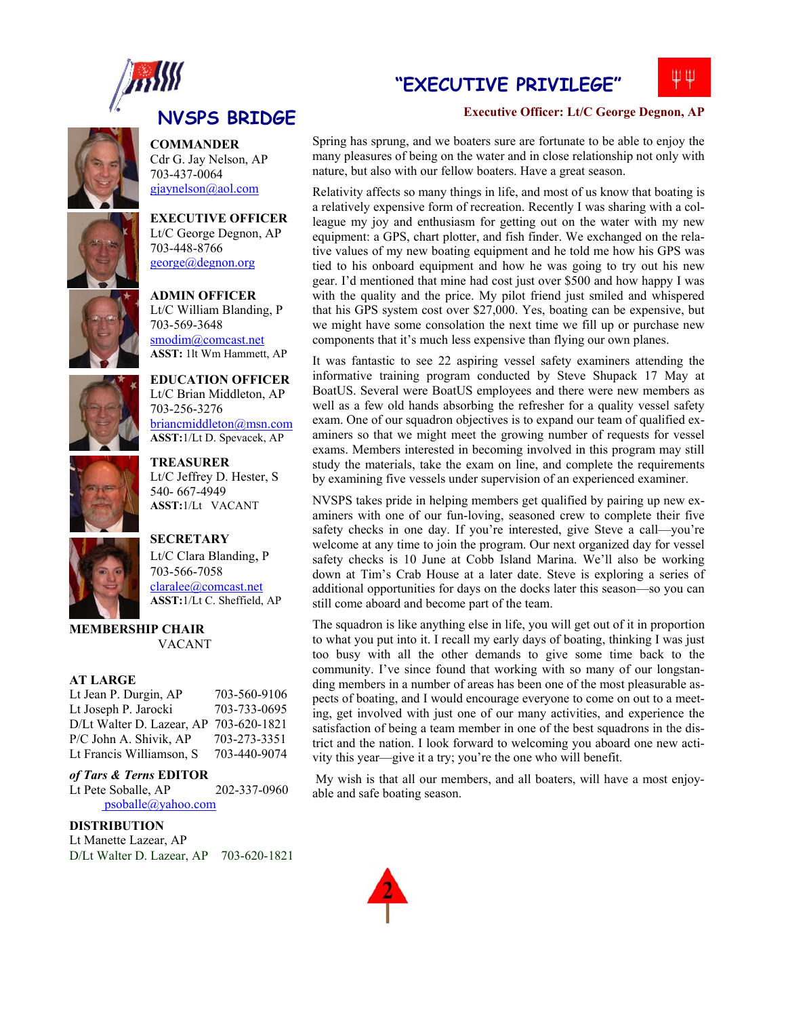

# **NVSPS BRIDGE**

**COMMANDER**  Cdr G. Jay Nelson, AP 703-437-0064



gjaynelson@aol.com **EXECUTIVE OFFICER** 

**ADMIN OFFICER** 

Lt/C George Degnon, AP 703-448-8766 george@degnon.org







**TREASURER** Lt/C Jeffrey D. Hester, S 540- 667-4949 **ASST:**1/Lt VACANT

Lt/C Brian Middleton, AP

briancmiddleton@msn.com **ASST:**1/Lt D. Spevacek, AP

703-256-3276



**SECRETARY**  Lt/C Clara Blanding, P 703-566-7058 claralee@comcast.net **ASST:**1/Lt C. Sheffield, AP

**MEMBERSHIP CHAIR**  VACANT

### **AT LARGE**

| Lt Jean P. Durgin, AP     | 703-560-9106 |
|---------------------------|--------------|
| Lt Joseph P. Jarocki      | 703-733-0695 |
| D/Lt Walter D. Lazear, AP | 703-620-1821 |
| P/C John A. Shivik, AP    | 703-273-3351 |
| Lt Francis Williamson, S  | 703-440-9074 |

### *of Tars & Terns* **EDITOR**

Lt Pete Soballe, AP 202-337-0960 psoballe@yahoo.com

### **DISTRIBUTION**

Lt Manette Lazear, AP D/Lt Walter D. Lazear, AP 703-620-1821

## **"EXECUTIVE PRIVILEGE"**



### **Executive Officer: Lt/C George Degnon, AP**

Spring has sprung, and we boaters sure are fortunate to be able to enjoy the many pleasures of being on the water and in close relationship not only with nature, but also with our fellow boaters. Have a great season.

Relativity affects so many things in life, and most of us know that boating is a relatively expensive form of recreation. Recently I was sharing with a colleague my joy and enthusiasm for getting out on the water with my new equipment: a GPS, chart plotter, and fish finder. We exchanged on the relative values of my new boating equipment and he told me how his GPS was tied to his onboard equipment and how he was going to try out his new gear. I'd mentioned that mine had cost just over \$500 and how happy I was with the quality and the price. My pilot friend just smiled and whispered that his GPS system cost over \$27,000. Yes, boating can be expensive, but we might have some consolation the next time we fill up or purchase new components that it's much less expensive than flying our own planes.

It was fantastic to see 22 aspiring vessel safety examiners attending the informative training program conducted by Steve Shupack 17 May at BoatUS. Several were BoatUS employees and there were new members as well as a few old hands absorbing the refresher for a quality vessel safety exam. One of our squadron objectives is to expand our team of qualified examiners so that we might meet the growing number of requests for vessel exams. Members interested in becoming involved in this program may still study the materials, take the exam on line, and complete the requirements by examining five vessels under supervision of an experienced examiner.

NVSPS takes pride in helping members get qualified by pairing up new examiners with one of our fun-loving, seasoned crew to complete their five safety checks in one day. If you're interested, give Steve a call—you're welcome at any time to join the program. Our next organized day for vessel safety checks is 10 June at Cobb Island Marina. We'll also be working down at Tim's Crab House at a later date. Steve is exploring a series of additional opportunities for days on the docks later this season—so you can still come aboard and become part of the team.

The squadron is like anything else in life, you will get out of it in proportion to what you put into it. I recall my early days of boating, thinking I was just too busy with all the other demands to give some time back to the community. I've since found that working with so many of our longstanding members in a number of areas has been one of the most pleasurable aspects of boating, and I would encourage everyone to come on out to a meeting, get involved with just one of our many activities, and experience the satisfaction of being a team member in one of the best squadrons in the district and the nation. I look forward to welcoming you aboard one new activity this year—give it a try; you're the one who will benefit.

 My wish is that all our members, and all boaters, will have a most enjoyable and safe boating season.

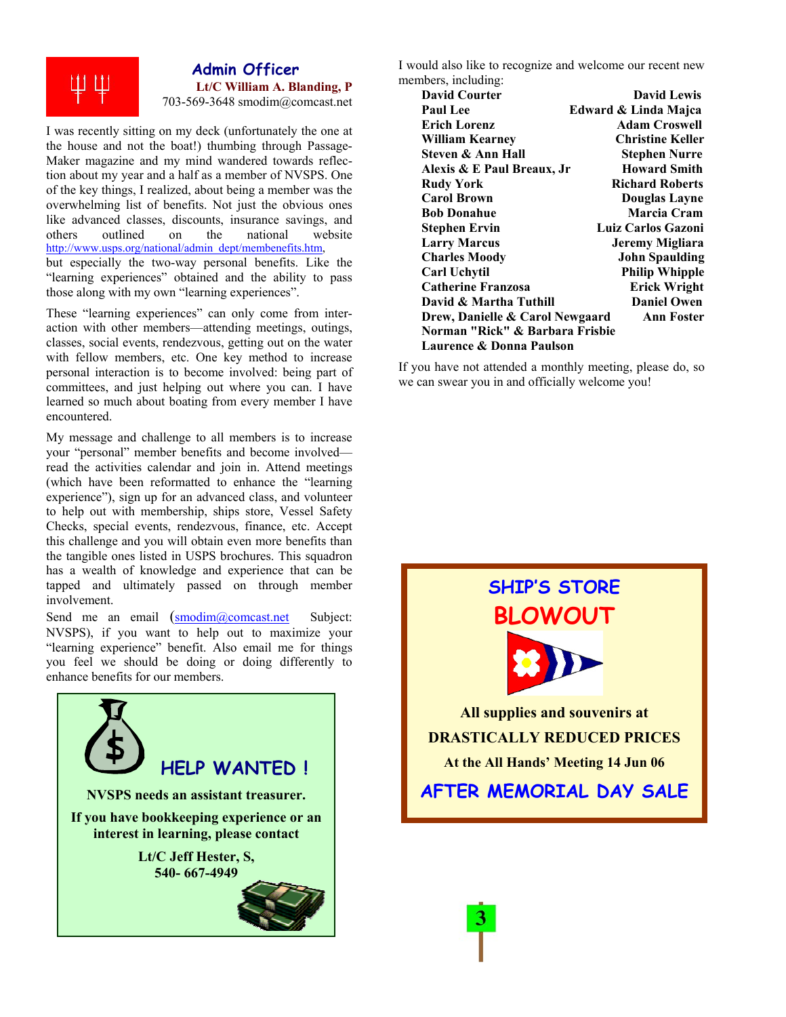

### **Admin Officer Lt/C William A. Blanding, P**  703-569-3648 smodim@comcast.net

I was recently sitting on my deck (unfortunately the one at the house and not the boat!) thumbing through Passage-Maker magazine and my mind wandered towards reflection about my year and a half as a member of NVSPS. One of the key things, I realized, about being a member was the overwhelming list of benefits. Not just the obvious ones like advanced classes, discounts, insurance savings, and others outlined on the national website<br>http://www.usps.org/national/admin dept/membenefits.htm. but especially the two-way personal benefits. Like the "learning experiences" obtained and the ability to pass those along with my own "learning experiences".

These "learning experiences" can only come from interaction with other members—attending meetings, outings, classes, social events, rendezvous, getting out on the water with fellow members, etc. One key method to increase personal interaction is to become involved: being part of committees, and just helping out where you can. I have learned so much about boating from every member I have encountered.

My message and challenge to all members is to increase your "personal" member benefits and become involved read the activities calendar and join in. Attend meetings (which have been reformatted to enhance the "learning experience"), sign up for an advanced class, and volunteer to help out with membership, ships store, Vessel Safety Checks, special events, rendezvous, finance, etc. Accept this challenge and you will obtain even more benefits than the tangible ones listed in USPS brochures. This squadron has a wealth of knowledge and experience that can be tapped and ultimately passed on through member involvement.

Send me an email (smodim@comcast.net Subject: NVSPS), if you want to help out to maximize your "learning experience" benefit. Also email me for things you feel we should be doing or doing differently to enhance benefits for our members.



I would also like to recognize and welcome our recent new members, including:

| <b>David Courter</b>            | <b>David Lewis</b>     |
|---------------------------------|------------------------|
| <b>Paul Lee</b>                 | Edward & Linda Majca   |
| <b>Erich Lorenz</b>             | <b>Adam Croswell</b>   |
| <b>William Kearney</b>          | Christine Keller       |
| Steven & Ann Hall               | <b>Stephen Nurre</b>   |
| Alexis & E Paul Breaux, Jr      | <b>Howard Smith</b>    |
| <b>Rudy York</b>                | <b>Richard Roberts</b> |
| <b>Carol Brown</b>              | <b>Douglas Layne</b>   |
| <b>Bob Donahue</b>              | Marcia Cram            |
| <b>Stephen Ervin</b>            | Luiz Carlos Gazoni     |
| <b>Larry Marcus</b>             | Jeremy Migliara        |
| <b>Charles Moody</b>            | <b>John Spaulding</b>  |
| <b>Carl Uchytil</b>             | <b>Philip Whipple</b>  |
| <b>Catherine Franzosa</b>       | <b>Erick Wright</b>    |
| David & Martha Tuthill          | <b>Daniel Owen</b>     |
| Drew, Danielle & Carol Newgaard | Ann Foster             |
| Norman "Rick" & Barbara Frisbie |                        |
| Laurence & Donna Paulson        |                        |

If you have not attended a monthly meeting, please do, so we can swear you in and officially welcome you!

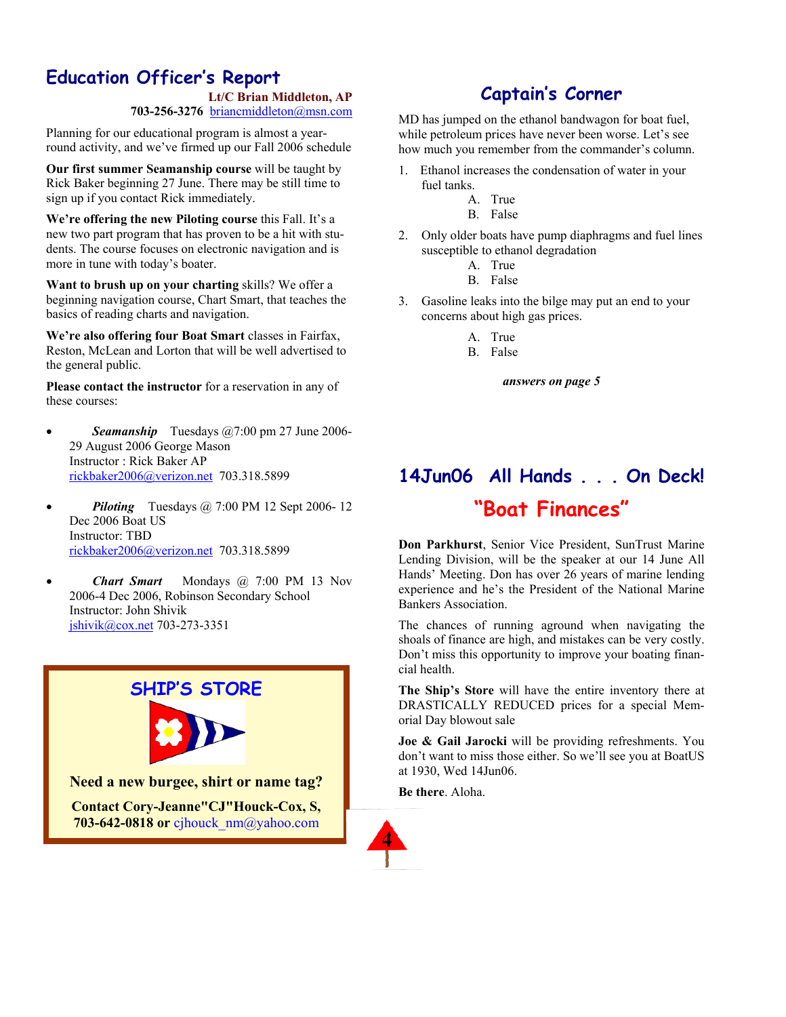# **Education Officer's Report**

**Lt/C Brian Middleton, AP** 

**703-256-3276** briancmiddleton@msn.com

Planning for our educational program is almost a yearround activity, and we've firmed up our Fall 2006 schedule

**Our first summer Seamanship course** will be taught by Rick Baker beginning 27 June. There may be still time to sign up if you contact Rick immediately.

**We're offering the new Piloting course** this Fall. It's a new two part program that has proven to be a hit with students. The course focuses on electronic navigation and is more in tune with today's boater.

**Want to brush up on your charting** skills? We offer a beginning navigation course, Chart Smart, that teaches the basics of reading charts and navigation.

**We're also offering four Boat Smart** classes in Fairfax, Reston, McLean and Lorton that will be well advertised to the general public.

**Please contact the instructor** for a reservation in any of these courses:

- *Seamanship* Tuesdays @7:00 pm 27 June 2006- 29 August 2006 George Mason Instructor : Rick Baker AP rickbaker2006@verizon.net 703.318.5899
- **Piloting** Tuesdays @ 7:00 PM 12 Sept 2006-12 Dec 2006 Boat US Instructor: TBD rickbaker2006@verizon.net 703.318.5899
- *Chart Smart* Mondays @ 7:00 PM 13 Nov 2006-4 Dec 2006, Robinson Secondary School Instructor: John Shivik jshivik@cox.net 703-273-3351



**Need a new burgee, shirt or name tag?** 

**Contact Cory-Jeanne"CJ"Houck-Cox, S, 703-642-0818 or** cjhouck\_nm@yahoo.com

## **Captain's Corner**

MD has jumped on the ethanol bandwagon for boat fuel, while petroleum prices have never been worse. Let's see how much you remember from the commander's column.

- 1. Ethanol increases the condensation of water in your fuel tanks.
	- A. True
	- B. False
- 2. Only older boats have pump diaphragms and fuel lines susceptible to ethanol degradation
	- A. True
	- B. False
- 3. Gasoline leaks into the bilge may put an end to your concerns about high gas prices.
	- A. True
	- B. False

*answers on page 5* 

# **14Jun06 All Hands . . . On Deck! "Boat Finances"**

**Don Parkhurst**, Senior Vice President, SunTrust Marine Lending Division, will be the speaker at our 14 June All Hands' Meeting. Don has over 26 years of marine lending experience and he's the President of the National Marine Bankers Association.

The chances of running aground when navigating the shoals of finance are high, and mistakes can be very costly. Don't miss this opportunity to improve your boating financial health.

**The Ship's Store** will have the entire inventory there at DRASTICALLY REDUCED prices for a special Memorial Day blowout sale

**Joe & Gail Jarocki** will be providing refreshments. You don't want to miss those either. So we'll see you at BoatUS at 1930, Wed 14Jun06.

**Be there**. Aloha.

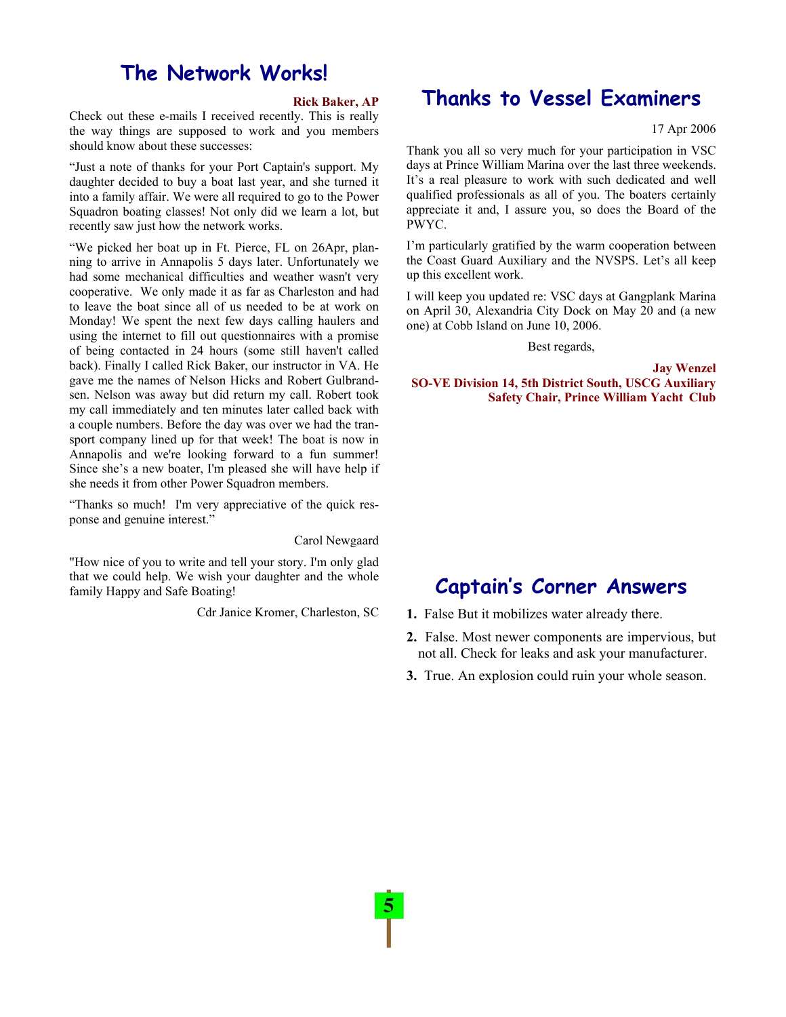# **The Network Works!**

#### **Rick Baker, AP**

Check out these e-mails I received recently. This is really the way things are supposed to work and you members should know about these successes:

"Just a note of thanks for your Port Captain's support. My daughter decided to buy a boat last year, and she turned it into a family affair. We were all required to go to the Power Squadron boating classes! Not only did we learn a lot, but recently saw just how the network works.

"We picked her boat up in Ft. Pierce, FL on 26Apr, planning to arrive in Annapolis 5 days later. Unfortunately we had some mechanical difficulties and weather wasn't very cooperative. We only made it as far as Charleston and had to leave the boat since all of us needed to be at work on Monday! We spent the next few days calling haulers and using the internet to fill out questionnaires with a promise of being contacted in 24 hours (some still haven't called back). Finally I called Rick Baker, our instructor in VA. He gave me the names of Nelson Hicks and Robert Gulbrandsen. Nelson was away but did return my call. Robert took my call immediately and ten minutes later called back with a couple numbers. Before the day was over we had the transport company lined up for that week! The boat is now in Annapolis and we're looking forward to a fun summer! Since she's a new boater, I'm pleased she will have help if she needs it from other Power Squadron members.

"Thanks so much! I'm very appreciative of the quick response and genuine interest."

Carol Newgaard

"How nice of you to write and tell your story. I'm only glad that we could help. We wish your daughter and the whole family Happy and Safe Boating!

Cdr Janice Kromer, Charleston, SC

## **Thanks to Vessel Examiners**

17 Apr 2006

Thank you all so very much for your participation in VSC days at Prince William Marina over the last three weekends. It's a real pleasure to work with such dedicated and well qualified professionals as all of you. The boaters certainly appreciate it and, I assure you, so does the Board of the PWYC.

I'm particularly gratified by the warm cooperation between the Coast Guard Auxiliary and the NVSPS. Let's all keep up this excellent work.

I will keep you updated re: VSC days at Gangplank Marina on April 30, Alexandria City Dock on May 20 and (a new one) at Cobb Island on June 10, 2006.

Best regards,

**Jay Wenzel SO-VE Division 14, 5th District South, USCG Auxiliary Safety Chair, Prince William Yacht Club** 

## **Captain's Corner Answers**

- **1.** False But it mobilizes water already there.
- **2.** False. Most newer components are impervious, but not all. Check for leaks and ask your manufacturer.
- **3.** True. An explosion could ruin your whole season.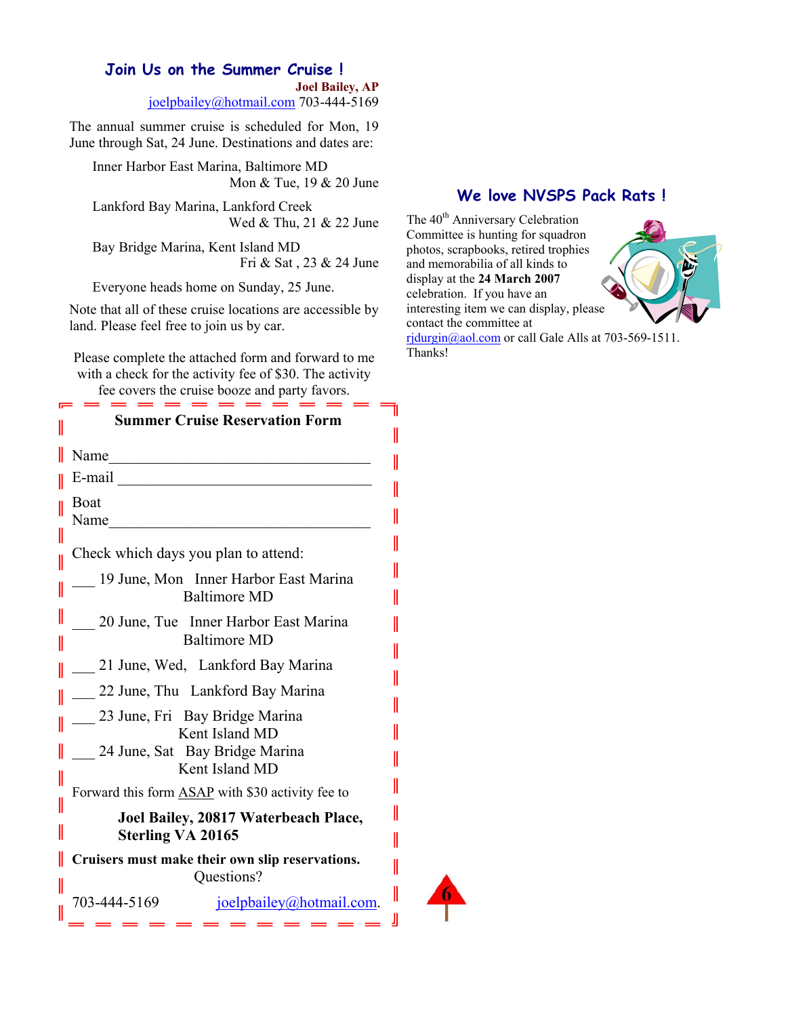### **Join Us on the Summer Cruise ! Joel Bailey, AP**

joelpbailey@hotmail.com 703-444-5169

The annual summer cruise is scheduled for Mon, 19 June through Sat, 24 June. Destinations and dates are:

Inner Harbor East Marina, Baltimore MD Mon & Tue, 19 & 20 June

Lankford Bay Marina, Lankford Creek Wed & Thu, 21 & 22 June

Bay Bridge Marina, Kent Island MD Fri & Sat , 23 & 24 June

Everyone heads home on Sunday, 25 June.

Note that all of these cruise locations are accessible by land. Please feel free to join us by car.

Please complete the attached form and forward to me with a check for the activity fee of \$30. The activity fee covers the cruise booze and party favors.

## **Summer Cruise Reservation Form**

I

| Name                                                                     |
|--------------------------------------------------------------------------|
| E-mail                                                                   |
| Boat<br>Name                                                             |
| Check which days you plan to attend:                                     |
| 19 June, Mon Inner Harbor East Marina<br>I<br><b>Baltimore MD</b>        |
| II<br>20 June, Tue Inner Harbor East Marina<br><b>Baltimore MD</b><br>II |
| 21 June, Wed, Lankford Bay Marina                                        |
| 22 June, Thu Lankford Bay Marina<br>II                                   |
| 23 June, Fri Bay Bridge Marina<br>II<br>Kent Island MD                   |
| II<br>24 June, Sat Bay Bridge Marina<br>Kent Island MD                   |
| Forward this form <b>ASAP</b> with \$30 activity fee to                  |
| Joel Bailey, 20817 Waterbeach Place,<br>II<br><b>Sterling VA 20165</b>   |
| Cruisers must make their own slip reservations.<br>Questions?            |
| 703-444-5169<br>joelpbailey@hotmail.com.                                 |

## **We love NVSPS Pack Rats !**

The 40<sup>th</sup> Anniversary Celebration Committee is hunting for squadron photos, scrapbooks, retired trophies and memorabilia of all kinds to display at the **24 March 2007**  celebration. If you have an interesting item we can display, please contact the committee at rjdurgin@aol.com or call Gale Alls at 703-569-1511.

Thanks!

11

I

I

I

I

I

I

I

I

I

I

I

I

I

I Щ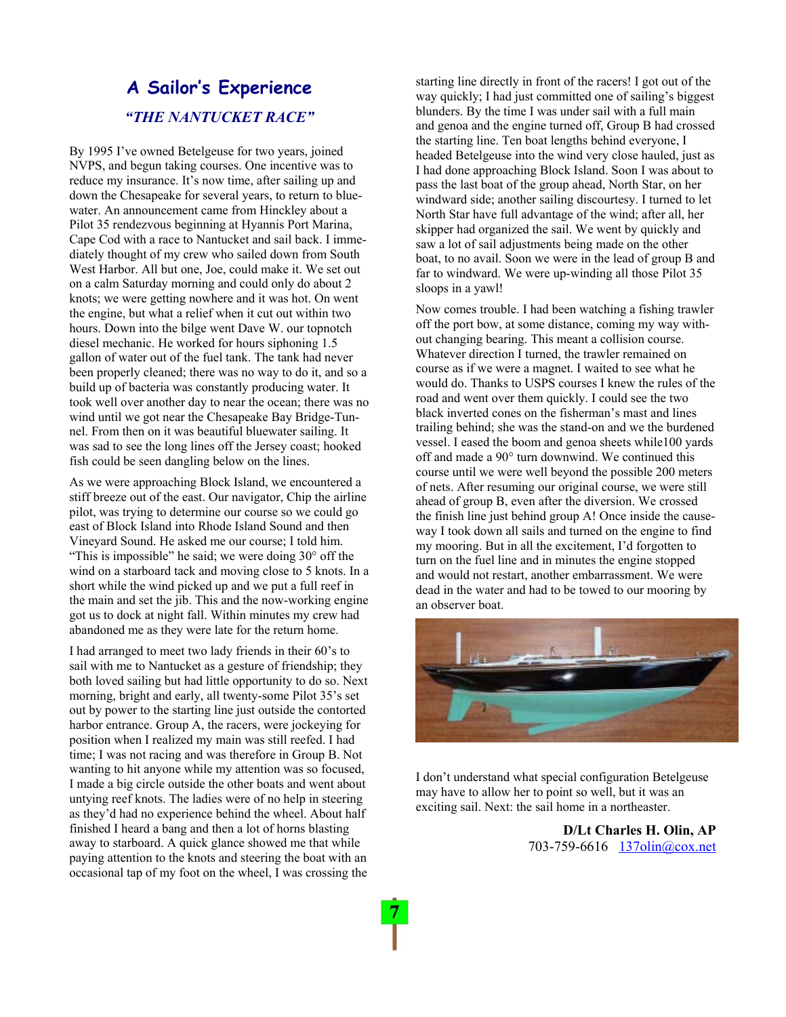# **A Sailor's Experience**  *"THE NANTUCKET RACE"*

By 1995 I've owned Betelgeuse for two years, joined NVPS, and begun taking courses. One incentive was to reduce my insurance. It's now time, after sailing up and down the Chesapeake for several years, to return to bluewater. An announcement came from Hinckley about a Pilot 35 rendezvous beginning at Hyannis Port Marina, Cape Cod with a race to Nantucket and sail back. I immediately thought of my crew who sailed down from South West Harbor. All but one, Joe, could make it. We set out on a calm Saturday morning and could only do about 2 knots; we were getting nowhere and it was hot. On went the engine, but what a relief when it cut out within two hours. Down into the bilge went Dave W. our topnotch diesel mechanic. He worked for hours siphoning 1.5 gallon of water out of the fuel tank. The tank had never been properly cleaned; there was no way to do it, and so a build up of bacteria was constantly producing water. It took well over another day to near the ocean; there was no wind until we got near the Chesapeake Bay Bridge-Tunnel. From then on it was beautiful bluewater sailing. It was sad to see the long lines off the Jersey coast; hooked fish could be seen dangling below on the lines.

As we were approaching Block Island, we encountered a stiff breeze out of the east. Our navigator, Chip the airline pilot, was trying to determine our course so we could go east of Block Island into Rhode Island Sound and then Vineyard Sound. He asked me our course; I told him. "This is impossible" he said; we were doing 30° off the wind on a starboard tack and moving close to 5 knots. In a short while the wind picked up and we put a full reef in the main and set the jib. This and the now-working engine got us to dock at night fall. Within minutes my crew had abandoned me as they were late for the return home.

I had arranged to meet two lady friends in their 60's to sail with me to Nantucket as a gesture of friendship; they both loved sailing but had little opportunity to do so. Next morning, bright and early, all twenty-some Pilot 35's set out by power to the starting line just outside the contorted harbor entrance. Group A, the racers, were jockeying for position when I realized my main was still reefed. I had time; I was not racing and was therefore in Group B. Not wanting to hit anyone while my attention was so focused, I made a big circle outside the other boats and went about untying reef knots. The ladies were of no help in steering as they'd had no experience behind the wheel. About half finished I heard a bang and then a lot of horns blasting away to starboard. A quick glance showed me that while paying attention to the knots and steering the boat with an occasional tap of my foot on the wheel, I was crossing the

starting line directly in front of the racers! I got out of the way quickly; I had just committed one of sailing's biggest blunders. By the time I was under sail with a full main and genoa and the engine turned off, Group B had crossed the starting line. Ten boat lengths behind everyone, I headed Betelgeuse into the wind very close hauled, just as I had done approaching Block Island. Soon I was about to pass the last boat of the group ahead, North Star, on her windward side; another sailing discourtesy. I turned to let North Star have full advantage of the wind; after all, her skipper had organized the sail. We went by quickly and saw a lot of sail adjustments being made on the other boat, to no avail. Soon we were in the lead of group B and far to windward. We were up-winding all those Pilot 35 sloops in a yawl!

Now comes trouble. I had been watching a fishing trawler off the port bow, at some distance, coming my way without changing bearing. This meant a collision course. Whatever direction I turned, the trawler remained on course as if we were a magnet. I waited to see what he would do. Thanks to USPS courses I knew the rules of the road and went over them quickly. I could see the two black inverted cones on the fisherman's mast and lines trailing behind; she was the stand-on and we the burdened vessel. I eased the boom and genoa sheets while100 yards off and made a 90° turn downwind. We continued this course until we were well beyond the possible 200 meters of nets. After resuming our original course, we were still ahead of group B, even after the diversion. We crossed the finish line just behind group A! Once inside the causeway I took down all sails and turned on the engine to find my mooring. But in all the excitement, I'd forgotten to turn on the fuel line and in minutes the engine stopped and would not restart, another embarrassment. We were dead in the water and had to be towed to our mooring by an observer boat.



I don't understand what special configuration Betelgeuse may have to allow her to point so well, but it was an exciting sail. Next: the sail home in a northeaster.

> **D/Lt Charles H. Olin, AP**  703-759-6616 137olin@cox.net